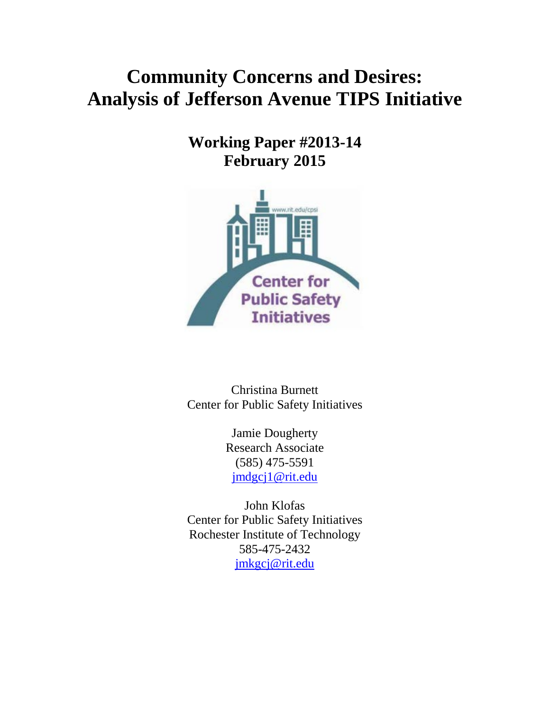# **Community Concerns and Desires: Analysis of Jefferson Avenue TIPS Initiative**

**Working Paper #2013-14 February 2015**



Christina Burnett Center for Public Safety Initiatives

> Jamie Dougherty Research Associate (585) 475-5591 [jmdgcj1@rit.edu](mailto:jmdgcj1@rit.edu)

John Klofas Center for Public Safety Initiatives Rochester Institute of Technology 585-475-2432 [jmkgcj@rit.edu](mailto:jmkgcj@rit.edu)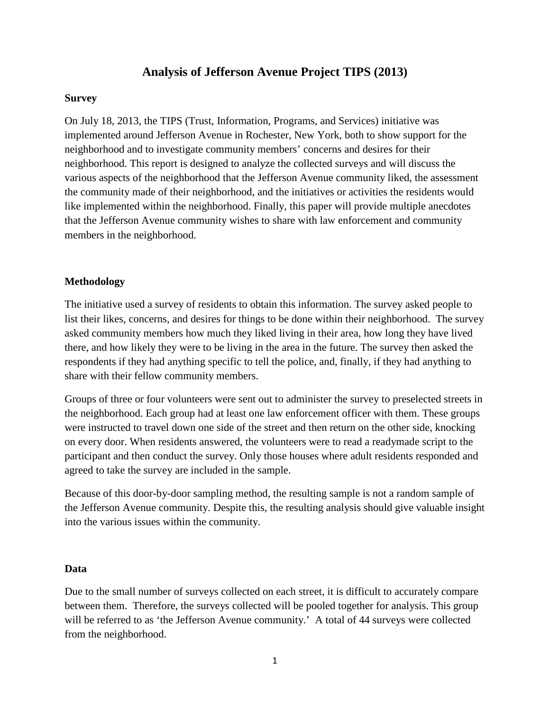# **Analysis of Jefferson Avenue Project TIPS (2013)**

#### **Survey**

On July 18, 2013, the TIPS (Trust, Information, Programs, and Services) initiative was implemented around Jefferson Avenue in Rochester, New York, both to show support for the neighborhood and to investigate community members' concerns and desires for their neighborhood. This report is designed to analyze the collected surveys and will discuss the various aspects of the neighborhood that the Jefferson Avenue community liked, the assessment the community made of their neighborhood, and the initiatives or activities the residents would like implemented within the neighborhood. Finally, this paper will provide multiple anecdotes that the Jefferson Avenue community wishes to share with law enforcement and community members in the neighborhood.

#### **Methodology**

The initiative used a survey of residents to obtain this information. The survey asked people to list their likes, concerns, and desires for things to be done within their neighborhood. The survey asked community members how much they liked living in their area, how long they have lived there, and how likely they were to be living in the area in the future. The survey then asked the respondents if they had anything specific to tell the police, and, finally, if they had anything to share with their fellow community members.

Groups of three or four volunteers were sent out to administer the survey to preselected streets in the neighborhood. Each group had at least one law enforcement officer with them. These groups were instructed to travel down one side of the street and then return on the other side, knocking on every door. When residents answered, the volunteers were to read a readymade script to the participant and then conduct the survey. Only those houses where adult residents responded and agreed to take the survey are included in the sample.

Because of this door-by-door sampling method, the resulting sample is not a random sample of the Jefferson Avenue community. Despite this, the resulting analysis should give valuable insight into the various issues within the community.

#### **Data**

Due to the small number of surveys collected on each street, it is difficult to accurately compare between them. Therefore, the surveys collected will be pooled together for analysis. This group will be referred to as 'the Jefferson Avenue community.' A total of 44 surveys were collected from the neighborhood.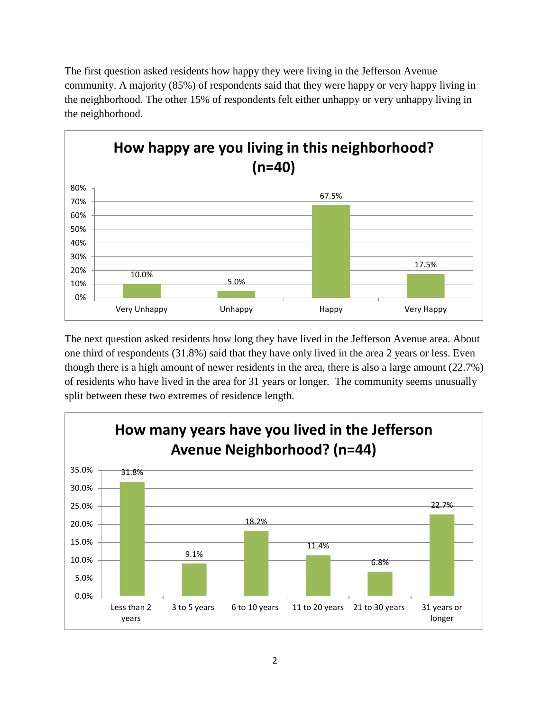The first question asked residents how happy they were living in the Jefferson Avenue community. A majority (85%) of respondents said that they were happy or very happy living in the neighborhood. The other 15% of respondents felt either unhappy or very unhappy living in the neighborhood.



The next question asked residents how long they have lived in the Jefferson Avenue area. About one third of respondents (31.8%) said that they have only lived in the area 2 years or less. Even though there is a high amount of newer residents in the area, there is also a large amount (22.7%) of residents who have lived in the area for 31 years or longer. The community seems unusually split between these two extremes of residence length.

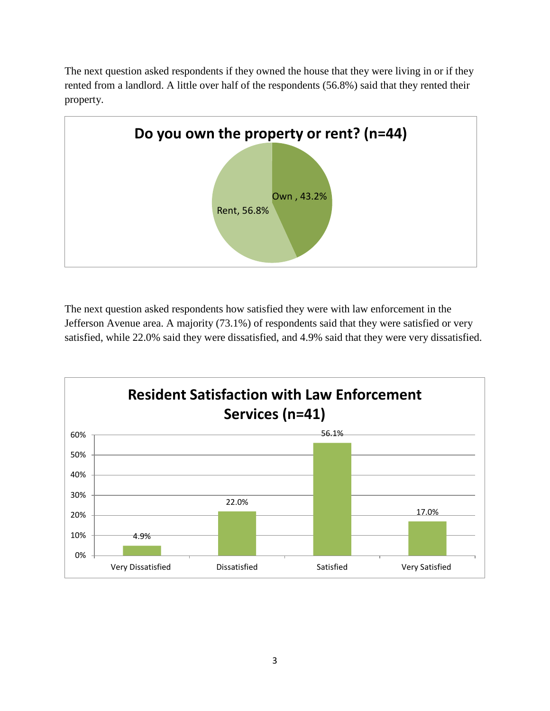The next question asked respondents if they owned the house that they were living in or if they rented from a landlord. A little over half of the respondents (56.8%) said that they rented their property.



The next question asked respondents how satisfied they were with law enforcement in the Jefferson Avenue area. A majority (73.1%) of respondents said that they were satisfied or very satisfied, while 22.0% said they were dissatisfied, and 4.9% said that they were very dissatisfied.

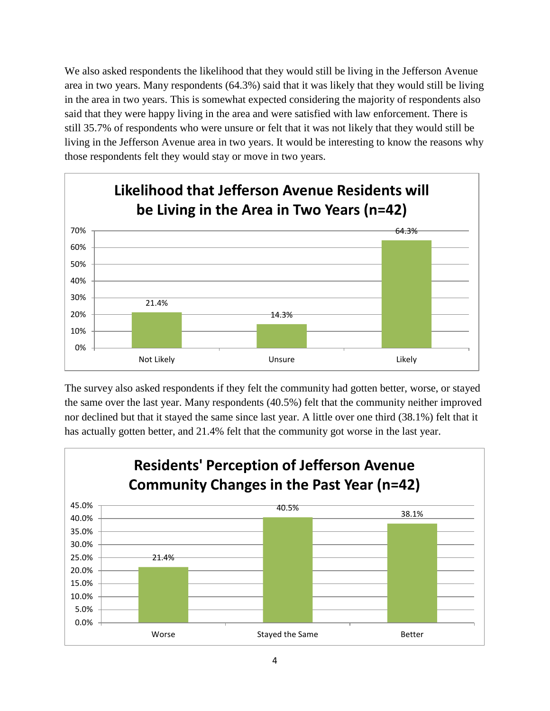We also asked respondents the likelihood that they would still be living in the Jefferson Avenue area in two years. Many respondents (64.3%) said that it was likely that they would still be living in the area in two years. This is somewhat expected considering the majority of respondents also said that they were happy living in the area and were satisfied with law enforcement. There is still 35.7% of respondents who were unsure or felt that it was not likely that they would still be living in the Jefferson Avenue area in two years. It would be interesting to know the reasons why those respondents felt they would stay or move in two years.



The survey also asked respondents if they felt the community had gotten better, worse, or stayed the same over the last year. Many respondents (40.5%) felt that the community neither improved nor declined but that it stayed the same since last year. A little over one third (38.1%) felt that it has actually gotten better, and 21.4% felt that the community got worse in the last year.

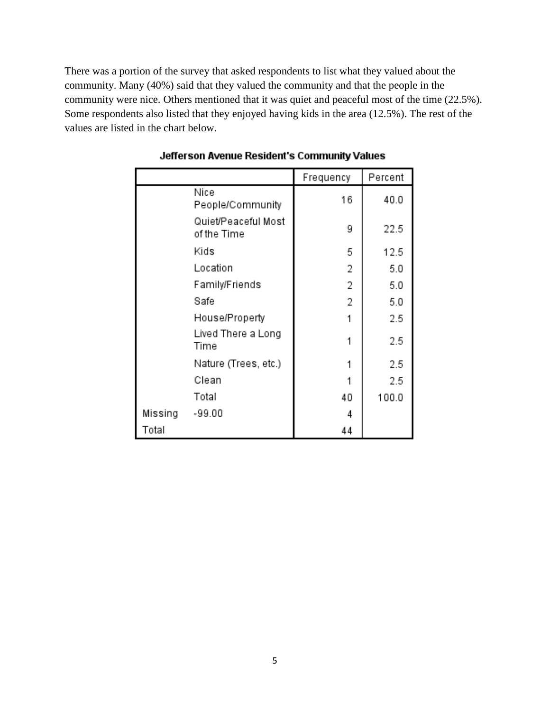There was a portion of the survey that asked respondents to list what they valued about the community. Many (40%) said that they valued the community and that the people in the community were nice. Others mentioned that it was quiet and peaceful most of the time (22.5%). Some respondents also listed that they enjoyed having kids in the area (12.5%). The rest of the values are listed in the chart below.

|         |                                    | Frequency | Percent |
|---------|------------------------------------|-----------|---------|
|         | Nice<br>People/Community           | 16        | 40.0    |
|         | Quiet/Peaceful Most<br>of the Time | 9         | 22.5    |
|         | Kids                               | 5         | 12.5    |
|         | Location                           | 2         | 5.0     |
|         | Family/Friends                     | 2         | 5.0     |
|         | Safe                               | 2         | 5.0     |
|         | House/Property                     |           | 2.5     |
|         | Lived There a Long<br>Time         |           | 2.5     |
|         | Nature (Trees, etc.)               |           | 2.5     |
|         | Clean                              |           | 2.5     |
|         | Total                              | 40        | 100.0   |
| Missing | -99.00                             | 4         |         |
| Total   |                                    | 44        |         |

Jefferson Avenue Resident's Community Values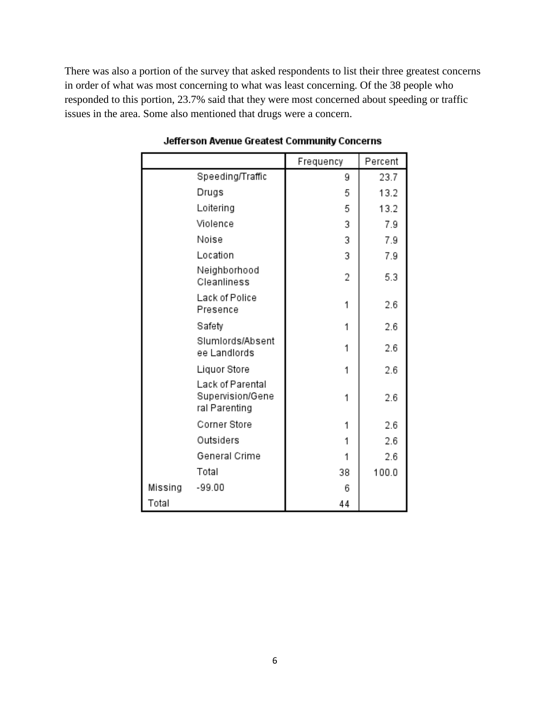There was also a portion of the survey that asked respondents to list their three greatest concerns in order of what was most concerning to what was least concerning. Of the 38 people who responded to this portion, 23.7% said that they were most concerned about speeding or traffic issues in the area. Some also mentioned that drugs were a concern.

|         |                                                       | Frequency | Percent |
|---------|-------------------------------------------------------|-----------|---------|
|         | Speeding/Traffic                                      | 9         | 23.7    |
|         | Drugs                                                 | 5         | 13.2    |
|         | Loitering                                             | 5         | 13.2    |
|         | Violence                                              | 3         | 7.9     |
|         | Noise                                                 | 3         | 7.9     |
|         | Location                                              | 3         | 7.9     |
|         | Neighborhood<br>Cleanliness                           | 2         | 5.3     |
|         | Lack of Police<br>Presence                            | 1         | 2.6     |
|         | Safety                                                | 1         | 2.6     |
|         | Slumlords/Absent<br>ee Landlords                      | 1         | 2.6     |
|         | Liquor Store                                          | 1         | 2.6     |
|         | Lack of Parental<br>Supervision/Gene<br>ral Parenting | 1         | 2.6     |
|         | Corner Store                                          | 1         | 2.6     |
|         | Outsiders                                             | 1         | 2.6     |
|         | General Crime                                         | 1         | 2.6     |
|         | Total                                                 | 38        | 100.0   |
| Missing | $-99.00$                                              | 6         |         |
| Total   |                                                       | 44        |         |

#### Jefferson Avenue Greatest Community Concerns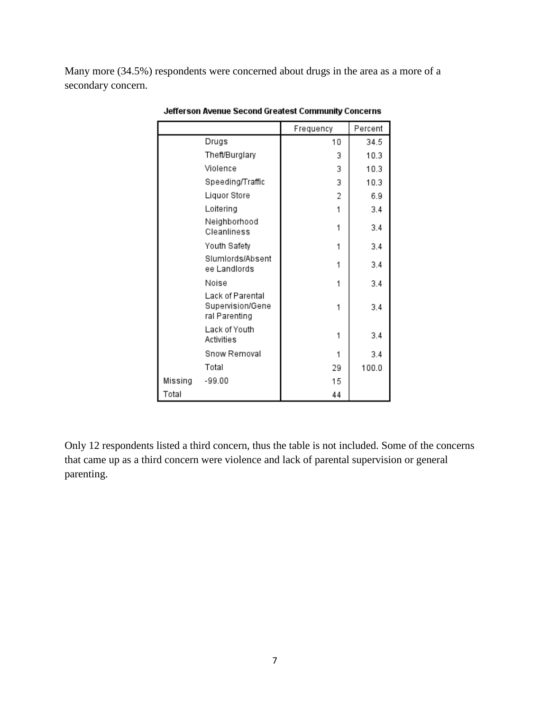Many more (34.5%) respondents were concerned about drugs in the area as a more of a secondary concern.

|         |                                                       | Frequency | Percent |
|---------|-------------------------------------------------------|-----------|---------|
|         | Drugs                                                 | 10        | 34.5    |
|         | Theft/Burglary                                        | 3         | 10.3    |
|         | Violence                                              | 3         | 10.3    |
|         | Speeding/Traffic                                      | 3         | 10.3    |
|         | Liquor Store                                          | 2         | 6.9     |
|         | Loitering                                             | 1         | 3.4     |
|         | Neighborhood<br>Cleanliness                           | 1         | 3.4     |
|         | Youth Safety                                          | 1         | 3.4     |
|         | Slumlords/Absent<br>ee Landlords                      | 1         | 3.4     |
|         | Noise                                                 | 1         | 3.4     |
|         | Lack of Parental<br>Supervision/Gene<br>ral Parenting | 1         | 3.4     |
|         | Lack of Youth<br>Activities                           | 1         | 3.4     |
|         | Snow Removal                                          | 1         | 3.4     |
|         | Total                                                 | 29        | 100.0   |
| Missing | $-99.00$                                              | 15        |         |
| Total   |                                                       | 44        |         |

Jefferson Avenue Second Greatest Community Concerns

Only 12 respondents listed a third concern, thus the table is not included. Some of the concerns that came up as a third concern were violence and lack of parental supervision or general parenting.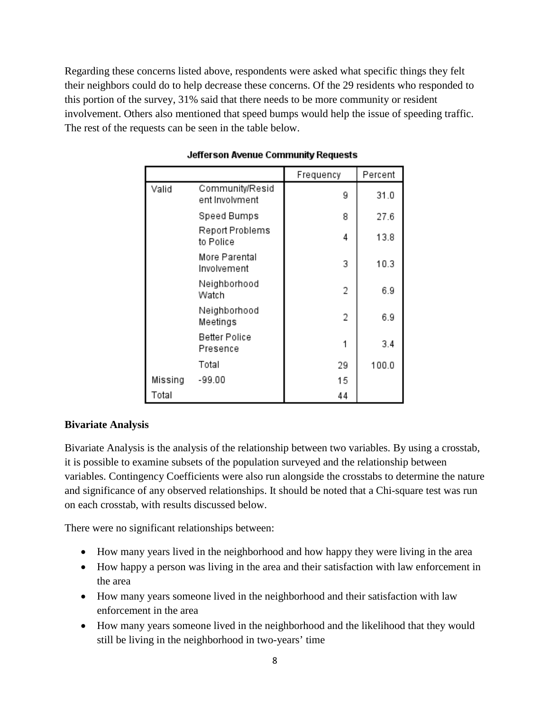Regarding these concerns listed above, respondents were asked what specific things they felt their neighbors could do to help decrease these concerns. Of the 29 residents who responded to this portion of the survey, 31% said that there needs to be more community or resident involvement. Others also mentioned that speed bumps would help the issue of speeding traffic. The rest of the requests can be seen in the table below.

|         |                                   | Frequency | Percent |
|---------|-----------------------------------|-----------|---------|
| Valid   | Community/Resid<br>ent Involvment | 9         | 31.0    |
|         | Speed Bumps                       | 8         | 27.6    |
|         | Report Problems<br>to Police      | 4         | 13.8    |
|         | More Parental<br>Involvement      | 3         | 10.3    |
|         | Neighborhood<br>Watch             | 2         | 6.9     |
|         | Neighborhood<br>Meetings          | 2         | 6.9     |
|         | Better Police<br>Presence         |           | 3.4     |
|         | Total                             | 29        | 100.0   |
| Missing | -99.00                            | 15        |         |
| Total   |                                   | 44        |         |

### Jefferson Avenue Community Requests

# **Bivariate Analysis**

Bivariate Analysis is the analysis of the relationship between two variables. By using a crosstab, it is possible to examine subsets of the population surveyed and the relationship between variables. Contingency Coefficients were also run alongside the crosstabs to determine the nature and significance of any observed relationships. It should be noted that a Chi-square test was run on each crosstab, with results discussed below.

There were no significant relationships between:

- How many years lived in the neighborhood and how happy they were living in the area
- How happy a person was living in the area and their satisfaction with law enforcement in the area
- How many years someone lived in the neighborhood and their satisfaction with law enforcement in the area
- How many years someone lived in the neighborhood and the likelihood that they would still be living in the neighborhood in two-years' time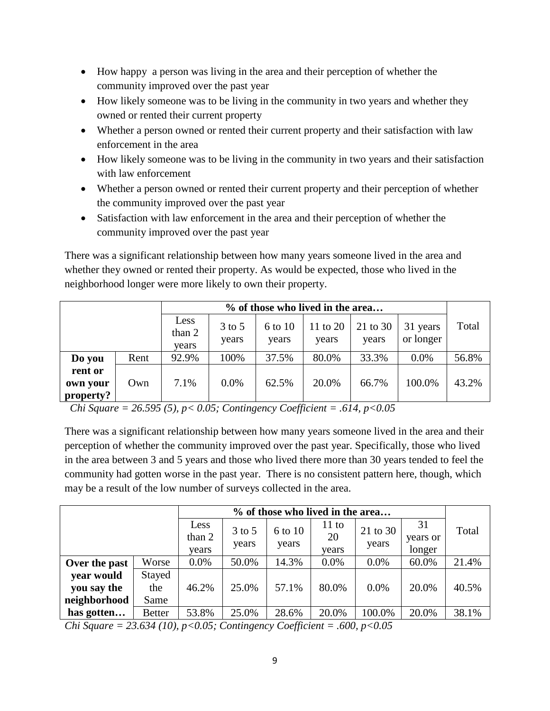- How happy a person was living in the area and their perception of whether the community improved over the past year
- How likely someone was to be living in the community in two years and whether they owned or rented their current property
- Whether a person owned or rented their current property and their satisfaction with law enforcement in the area
- How likely someone was to be living in the community in two years and their satisfaction with law enforcement
- Whether a person owned or rented their current property and their perception of whether the community improved over the past year
- Satisfaction with law enforcement in the area and their perception of whether the community improved over the past year

There was a significant relationship between how many years someone lived in the area and whether they owned or rented their property. As would be expected, those who lived in the neighborhood longer were more likely to own their property.

|                                  |      | % of those who lived in the area |                   |                  |                   |                   |                       |       |
|----------------------------------|------|----------------------------------|-------------------|------------------|-------------------|-------------------|-----------------------|-------|
|                                  |      | Less<br>than 2<br>years          | $3$ to 5<br>years | 6 to 10<br>years | 11 to 20<br>years | 21 to 30<br>years | 31 years<br>or longer | Total |
| Do you                           | Rent | 92.9%                            | 100%              | 37.5%            | 80.0%             | 33.3%             | $0.0\%$               | 56.8% |
| rent or<br>own your<br>property? | Own  | 7.1%                             | $0.0\%$           | 62.5%            | 20.0%             | 66.7%             | 100.0%                | 43.2% |

*Chi Square = 26.595 (5), p< 0.05; Contingency Coefficient = .614, p<0.05*

There was a significant relationship between how many years someone lived in the area and their perception of whether the community improved over the past year. Specifically, those who lived in the area between 3 and 5 years and those who lived there more than 30 years tended to feel the community had gotten worse in the past year. There is no consistent pattern here, though, which may be a result of the low number of surveys collected in the area.

|               |               | % of those who lived in the area |                   |                  |                      |                   |                          |       |
|---------------|---------------|----------------------------------|-------------------|------------------|----------------------|-------------------|--------------------------|-------|
|               |               | Less<br>than 2<br>years          | $3$ to 5<br>years | 6 to 10<br>years | 11 to<br>20<br>years | 21 to 30<br>years | 31<br>years or<br>longer | Total |
| Over the past | Worse         | 0.0%                             | 50.0%             | 14.3%            | 0.0%                 | $0.0\%$           | 60.0%                    | 21.4% |
| year would    | Stayed        |                                  |                   |                  |                      |                   |                          |       |
| you say the   | the           | 46.2%                            | 25.0%             | 57.1%            | 80.0%                | $0.0\%$           | 20.0%                    | 40.5% |
| neighborhood  | Same          |                                  |                   |                  |                      |                   |                          |       |
| has gotten    | <b>Better</b> | 53.8%                            | 25.0%             | 28.6%            | 20.0%                | 100.0%            | 20.0%                    | 38.1% |

*Chi Square = 23.634 (10), p<0.05; Contingency Coefficient = .600, p<0.05*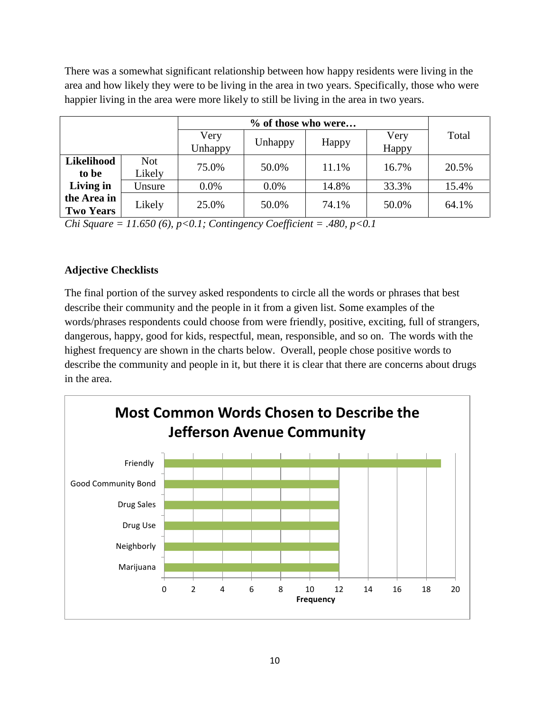There was a somewhat significant relationship between how happy residents were living in the area and how likely they were to be living in the area in two years. Specifically, those who were happier living in the area were more likely to still be living in the area in two years.

|                                 |                      | Very<br>Unhappy | Unhappy | Happy | Very<br>Happy | Total |
|---------------------------------|----------------------|-----------------|---------|-------|---------------|-------|
| <b>Likelihood</b><br>to be      | <b>Not</b><br>Likely | 75.0%           | 50.0%   | 11.1% | 16.7%         | 20.5% |
| Living in                       | Unsure               | 0.0%            | 0.0%    | 14.8% | 33.3%         | 15.4% |
| the Area in<br><b>Two Years</b> | Likely               | 25.0%           | 50.0%   | 74.1% | 50.0%         | 64.1% |

*Chi Square = 11.650 (6), p<0.1; Contingency Coefficient = .480, p<0.1* 

# **Adjective Checklists**

The final portion of the survey asked respondents to circle all the words or phrases that best describe their community and the people in it from a given list. Some examples of the words/phrases respondents could choose from were friendly, positive, exciting, full of strangers, dangerous, happy, good for kids, respectful, mean, responsible, and so on. The words with the highest frequency are shown in the charts below. Overall, people chose positive words to describe the community and people in it, but there it is clear that there are concerns about drugs in the area.

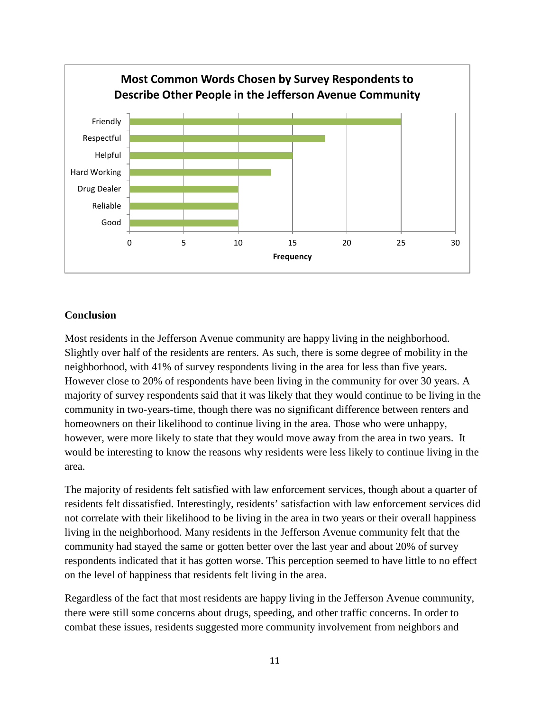

#### **Conclusion**

Most residents in the Jefferson Avenue community are happy living in the neighborhood. Slightly over half of the residents are renters. As such, there is some degree of mobility in the neighborhood, with 41% of survey respondents living in the area for less than five years. However close to 20% of respondents have been living in the community for over 30 years. A majority of survey respondents said that it was likely that they would continue to be living in the community in two-years-time, though there was no significant difference between renters and homeowners on their likelihood to continue living in the area. Those who were unhappy, however, were more likely to state that they would move away from the area in two years. It would be interesting to know the reasons why residents were less likely to continue living in the area.

The majority of residents felt satisfied with law enforcement services, though about a quarter of residents felt dissatisfied. Interestingly, residents' satisfaction with law enforcement services did not correlate with their likelihood to be living in the area in two years or their overall happiness living in the neighborhood. Many residents in the Jefferson Avenue community felt that the community had stayed the same or gotten better over the last year and about 20% of survey respondents indicated that it has gotten worse. This perception seemed to have little to no effect on the level of happiness that residents felt living in the area.

Regardless of the fact that most residents are happy living in the Jefferson Avenue community, there were still some concerns about drugs, speeding, and other traffic concerns. In order to combat these issues, residents suggested more community involvement from neighbors and